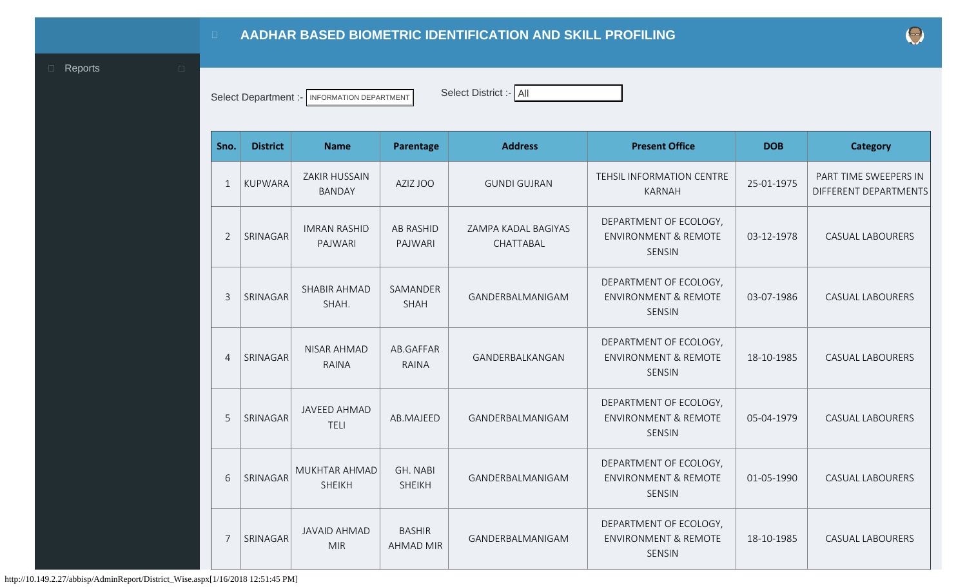<span id="page-0-0"></span>

Select Department :- INFORMATION DEPARTMENT Select District :- All

| Sno.           | <b>District</b> | <b>Name</b>                           | Parentage                         | <b>Address</b>                   | <b>Present Office</b>                                                      | <b>DOB</b> | <b>Category</b>                                |
|----------------|-----------------|---------------------------------------|-----------------------------------|----------------------------------|----------------------------------------------------------------------------|------------|------------------------------------------------|
| 1              | <b>KUPWARA</b>  | <b>ZAKIR HUSSAIN</b><br><b>BANDAY</b> | AZIZ JOO                          | <b>GUNDI GUJRAN</b>              | TEHSIL INFORMATION CENTRE<br><b>KARNAH</b>                                 | 25-01-1975 | PART TIME SWEEPERS IN<br>DIFFERENT DEPARTMENTS |
| $\overline{2}$ | SRINAGAR        | <b>IMRAN RASHID</b><br>PAJWARI        | <b>AB RASHID</b><br>PAJWARI       | ZAMPA KADAL BAGIYAS<br>CHATTABAL | DEPARTMENT OF ECOLOGY,<br><b>ENVIRONMENT &amp; REMOTE</b><br>SENSIN        | 03-12-1978 | <b>CASUAL LABOURERS</b>                        |
| 3              | SRINAGAR        | SHABIR AHMAD<br>SHAH.                 | SAMANDER<br><b>SHAH</b>           | GANDERBALMANIGAM                 | DEPARTMENT OF ECOLOGY,<br><b>ENVIRONMENT &amp; REMOTE</b><br>SENSIN        | 03-07-1986 | <b>CASUAL LABOURERS</b>                        |
| $\overline{4}$ | SRINAGAR        | <b>NISAR AHMAD</b><br>RAINA           | AB.GAFFAR<br><b>RAINA</b>         | GANDERBALKANGAN                  | DEPARTMENT OF ECOLOGY,<br><b>ENVIRONMENT &amp; REMOTE</b><br>SENSIN        | 18-10-1985 | <b>CASUAL LABOURERS</b>                        |
| 5              | SRINAGAR        | <b>JAVEED AHMAD</b><br><b>TELI</b>    | AB.MAJEED                         | GANDERBALMANIGAM                 | DEPARTMENT OF ECOLOGY,<br><b>ENVIRONMENT &amp; REMOTE</b><br><b>SENSIN</b> | 05-04-1979 | <b>CASUAL LABOURERS</b>                        |
| 6              | SRINAGAR        | MUKHTAR AHMAD<br><b>SHEIKH</b>        | GH. NABI<br><b>SHEIKH</b>         | GANDERBALMANIGAM                 | DEPARTMENT OF ECOLOGY,<br><b>ENVIRONMENT &amp; REMOTE</b><br><b>SENSIN</b> | 01-05-1990 | <b>CASUAL LABOURERS</b>                        |
| 7              | SRINAGAR        | <b>JAVAID AHMAD</b><br><b>MIR</b>     | <b>BASHIR</b><br><b>AHMAD MIR</b> | GANDERBALMANIGAM                 | DEPARTMENT OF ECOLOGY,<br><b>ENVIRONMENT &amp; REMOTE</b><br><b>SENSIN</b> | 18-10-1985 | <b>CASUAL LABOURERS</b>                        |

http://10.149.2.27/abbisp/AdminReport/District\_Wise.aspx[1/16/2018 12:51:45 PM]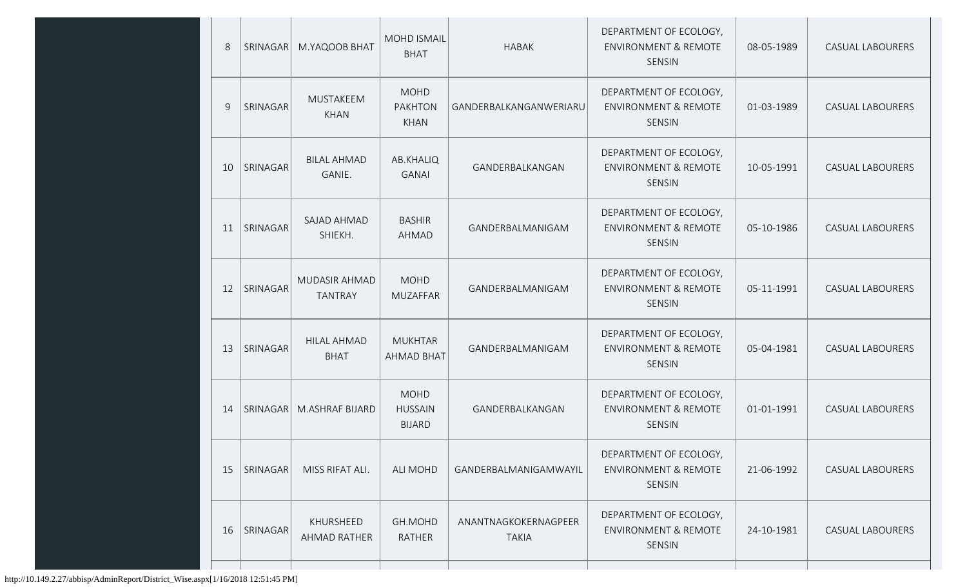| 8  | SRINAGAR        | M.YAQOOB BHAT                     | <b>MOHD ISMAIL</b><br><b>BHAT</b>              | <b>HABAK</b>                         | DEPARTMENT OF ECOLOGY,<br><b>ENVIRONMENT &amp; REMOTE</b><br>SENSIN | 08-05-1989 | CASUAL LABOURERS        |
|----|-----------------|-----------------------------------|------------------------------------------------|--------------------------------------|---------------------------------------------------------------------|------------|-------------------------|
| 9  | SRINAGAR        | MUSTAKEEM<br><b>KHAN</b>          | <b>MOHD</b><br><b>PAKHTON</b><br>KHAN          | GANDERBALKANGANWERIARU               | DEPARTMENT OF ECOLOGY,<br><b>ENVIRONMENT &amp; REMOTE</b><br>SENSIN | 01-03-1989 | CASUAL LABOURERS        |
| 10 | SRINAGAR        | <b>BILAL AHMAD</b><br>GANIE.      | AB.KHALIQ<br><b>GANAI</b>                      | GANDERBALKANGAN                      | DEPARTMENT OF ECOLOGY,<br><b>ENVIRONMENT &amp; REMOTE</b><br>SENSIN | 10-05-1991 | <b>CASUAL LABOURERS</b> |
| 11 | SRINAGAR        | SAJAD AHMAD<br>SHIEKH.            | <b>BASHIR</b><br>AHMAD                         | GANDERBALMANIGAM                     | DEPARTMENT OF ECOLOGY,<br><b>ENVIRONMENT &amp; REMOTE</b><br>SENSIN | 05-10-1986 | <b>CASUAL LABOURERS</b> |
| 12 | SRINAGAR        | MUDASIR AHMAD<br><b>TANTRAY</b>   | <b>MOHD</b><br><b>MUZAFFAR</b>                 | GANDERBALMANIGAM                     | DEPARTMENT OF ECOLOGY,<br><b>ENVIRONMENT &amp; REMOTE</b><br>SENSIN | 05-11-1991 | CASUAL LABOURERS        |
| 13 | <b>SRINAGAR</b> | <b>HILAL AHMAD</b><br><b>BHAT</b> | <b>MUKHTAR</b><br><b>AHMAD BHAT</b>            | GANDERBALMANIGAM                     | DEPARTMENT OF ECOLOGY,<br><b>ENVIRONMENT &amp; REMOTE</b><br>SENSIN | 05-04-1981 | <b>CASUAL LABOURERS</b> |
| 14 | SRINAGAR        | M.ASHRAF BIJARD                   | <b>MOHD</b><br><b>HUSSAIN</b><br><b>BIJARD</b> | GANDERBALKANGAN                      | DEPARTMENT OF ECOLOGY,<br><b>ENVIRONMENT &amp; REMOTE</b><br>SENSIN | 01-01-1991 | <b>CASUAL LABOURERS</b> |
| 15 | SRINAGAR        | MISS RIFAT ALI.                   | <b>ALI MOHD</b>                                | GANDERBALMANIGAMWAYIL                | DEPARTMENT OF ECOLOGY,<br><b>ENVIRONMENT &amp; REMOTE</b><br>SENSIN | 21-06-1992 | CASUAL LABOURERS        |
| 16 | SRINAGAR        | KHURSHEED<br>AHMAD RATHER         | GH.MOHD<br>RATHER                              | ANANTNAGKOKERNAGPEER<br><b>TAKIA</b> | DEPARTMENT OF ECOLOGY,<br><b>ENVIRONMENT &amp; REMOTE</b><br>SENSIN | 24-10-1981 | CASUAL LABOURERS        |
|    |                 |                                   |                                                |                                      |                                                                     |            |                         |